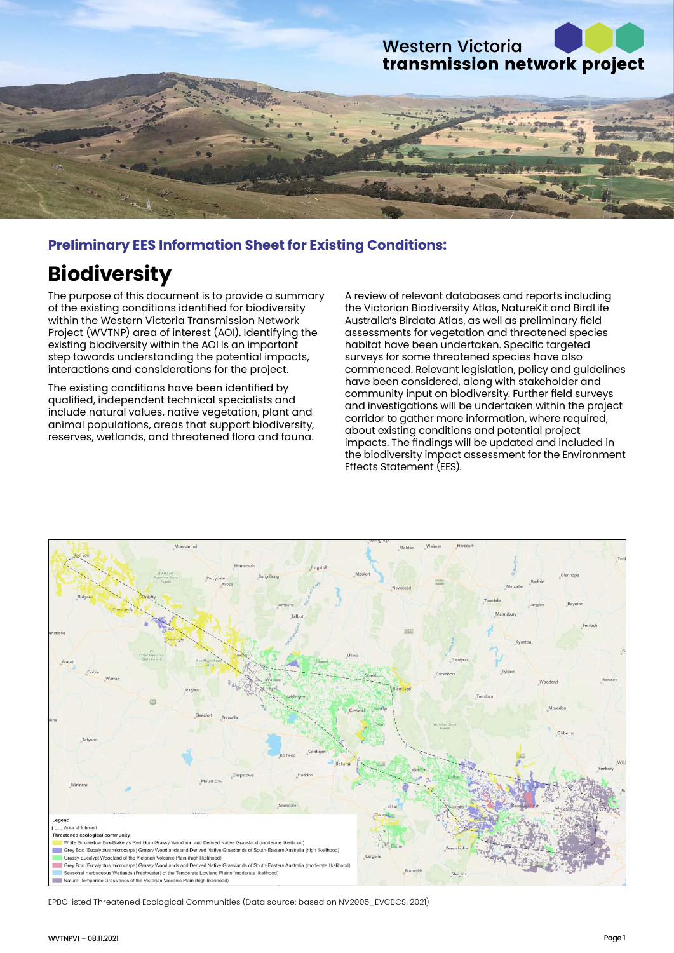

## **Preliminary EES Information Sheet for Existing Conditions:**

# **Biodiversity**

The purpose of this document is to provide a summary of the existing conditions identified for biodiversity within the Western Victoria Transmission Network Project (WVTNP) area of interest (AOI). Identifying the existing biodiversity within the AOI is an important step towards understanding the potential impacts, interactions and considerations for the project.

The existing conditions have been identified by qualified, independent technical specialists and include natural values, native vegetation, plant and animal populations, areas that support biodiversity, reserves, wetlands, and threatened flora and fauna.

A review of relevant databases and reports including the Victorian Biodiversity Atlas, NatureKit and BirdLife Australia's Birdata Atlas, as well as preliminary field assessments for vegetation and threatened species habitat have been undertaken. Specific targeted surveys for some threatened species have also commenced. Relevant legislation, policy and guidelines have been considered, along with stakeholder and community input on biodiversity. Further field surveys and investigations will be undertaken within the project corridor to gather more information, where required, about existing conditions and potential project impacts. The findings will be updated and included in the biodiversity impact assessment for the Environment Effects Statement (EES).



EPBC listed Threatened Ecological Communities (Data source: based on NV2005\_EVCBCS, 2021)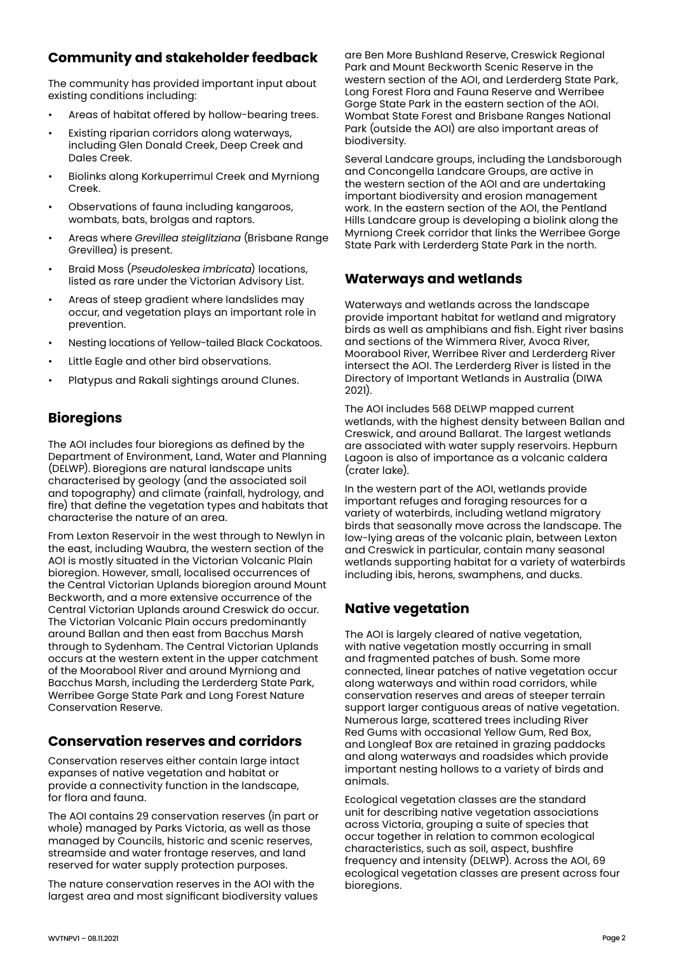# **Community and stakeholder feedback**

The community has provided important input about existing conditions including:

- Areas of habitat offered by hollow-bearing trees.
- Existing riparian corridors along waterways, including Glen Donald Creek, Deep Creek and Dales Creek.
- Biolinks along Korkuperrimul Creek and Myrniong Creek.
- Observations of fauna including kangaroos, wombats, bats, brolgas and raptors.
- Areas where *Grevillea steiglitziana* (Brisbane Range Grevillea) is present.
- Braid Moss (*Pseudoleskea imbricata*) locations, listed as rare under the Victorian Advisory List.
- Areas of steep gradient where landslides may occur, and vegetation plays an important role in prevention.
- Nesting locations of Yellow-tailed Black Cockatoos.
- Little Eagle and other bird observations.
- Platypus and Rakali sightings around Clunes.

# **Bioregions**

The AOI includes four bioregions as defined by the Department of Environment, Land, Water and Planning (DELWP). Bioregions are natural landscape units characterised by geology (and the associated soil and topography) and climate (rainfall, hydrology, and fire) that define the vegetation types and habitats that characterise the nature of an area.

From Lexton Reservoir in the west through to Newlyn in the east, including Waubra, the western section of the AOI is mostly situated in the Victorian Volcanic Plain bioregion. However, small, localised occurrences of the Central Victorian Uplands bioregion around Mount Beckworth, and a more extensive occurrence of the Central Victorian Uplands around Creswick do occur. The Victorian Volcanic Plain occurs predominantly around Ballan and then east from Bacchus Marsh through to Sydenham. The Central Victorian Uplands occurs at the western extent in the upper catchment of the Moorabool River and around Myrniong and Bacchus Marsh, including the Lerderderg State Park, Werribee Gorge State Park and Long Forest Nature Conservation Reserve.

#### **Conservation reserves and corridors**

Conservation reserves either contain large intact expanses of native vegetation and habitat or provide a connectivity function in the landscape, for flora and fauna.

The AOI contains 29 conservation reserves (in part or whole) managed by Parks Victoria, as well as those managed by Councils, historic and scenic reserves, streamside and water frontage reserves, and land reserved for water supply protection purposes.

The nature conservation reserves in the AOI with the largest area and most significant biodiversity values are Ben More Bushland Reserve, Creswick Regional Park and Mount Beckworth Scenic Reserve in the western section of the AOI, and Lerderderg State Park, Long Forest Flora and Fauna Reserve and Werribee Gorge State Park in the eastern section of the AOI. Wombat State Forest and Brisbane Ranges National Park (outside the AOI) are also important areas of biodiversity.

Several Landcare groups, including the Landsborough and Concongella Landcare Groups, are active in the western section of the AOI and are undertaking important biodiversity and erosion management work. In the eastern section of the AOI, the Pentland Hills Landcare group is developing a biolink along the Myrniong Creek corridor that links the Werribee Gorge State Park with Lerderderg State Park in the north.

#### **Waterways and wetlands**

Waterways and wetlands across the landscape provide important habitat for wetland and migratory birds as well as amphibians and fish. Eight river basins and sections of the Wimmera River, Avoca River, Moorabool River, Werribee River and Lerderderg River intersect the AOI. The Lerderderg River is listed in the Directory of Important Wetlands in Australia (DIWA 2021).

The AOI includes 568 DELWP mapped current wetlands, with the highest density between Ballan and Creswick, and around Ballarat. The largest wetlands are associated with water supply reservoirs. Hepburn Lagoon is also of importance as a volcanic caldera (crater lake).

In the western part of the AOI, wetlands provide important refuges and foraging resources for a variety of waterbirds, including wetland migratory birds that seasonally move across the landscape. The low-lying areas of the volcanic plain, between Lexton and Creswick in particular, contain many seasonal wetlands supporting habitat for a variety of waterbirds including ibis, herons, swamphens, and ducks.

# **Native vegetation**

The AOI is largely cleared of native vegetation, with native vegetation mostly occurring in small and fragmented patches of bush. Some more connected, linear patches of native vegetation occur along waterways and within road corridors, while conservation reserves and areas of steeper terrain support larger contiguous areas of native vegetation. Numerous large, scattered trees including River Red Gums with occasional Yellow Gum, Red Box, and Longleaf Box are retained in grazing paddocks and along waterways and roadsides which provide important nesting hollows to a variety of birds and animals.

Ecological vegetation classes are the standard unit for describing native vegetation associations across Victoria, grouping a suite of species that occur together in relation to common ecological characteristics, such as soil, aspect, bushfire frequency and intensity (DELWP). Across the AOI, 69 ecological vegetation classes are present across four bioregions.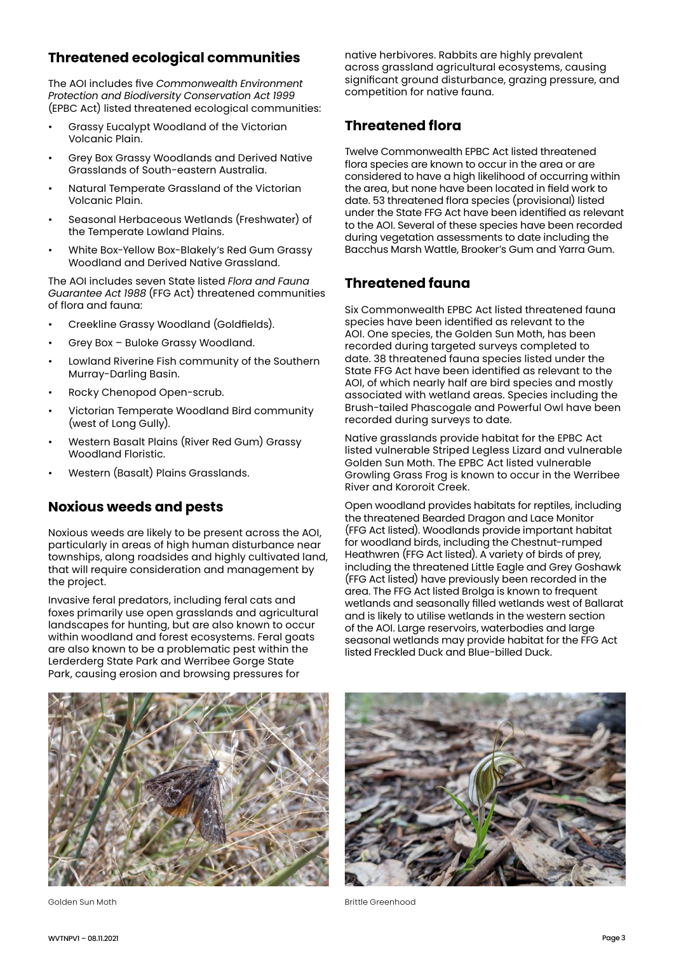# **Threatened ecological communities**

The AOI includes five *Commonwealth Environment Protection and Biodiversity Conservation Act 1999* (EPBC Act) listed threatened ecological communities:

- Grassy Eucalypt Woodland of the Victorian Volcanic Plain.
- Grey Box Grassy Woodlands and Derived Native Grasslands of South-eastern Australia.
- Natural Temperate Grassland of the Victorian Volcanic Plain.
- Seasonal Herbaceous Wetlands (Freshwater) of the Temperate Lowland Plains.
- White Box-Yellow Box-Blakely's Red Gum Grassy Woodland and Derived Native Grassland.

The AOI includes seven State listed *Flora and Fauna Guarantee Act 1988* (FFG Act) threatened communities of flora and fauna:

- Creekline Grassy Woodland (Goldfields).
- Grey Box Buloke Grassy Woodland.
- Lowland Riverine Fish community of the Southern Murray-Darling Basin.
- Rocky Chenopod Open-scrub.
- Victorian Temperate Woodland Bird community (west of Long Gully).
- Western Basalt Plains (River Red Gum) Grassy Woodland Floristic.
- Western (Basalt) Plains Grasslands.

#### **Noxious weeds and pests**

Noxious weeds are likely to be present across the AOI, particularly in areas of high human disturbance near townships, along roadsides and highly cultivated land, that will require consideration and management by the project.

Invasive feral predators, including feral cats and foxes primarily use open grasslands and agricultural landscapes for hunting, but are also known to occur within woodland and forest ecosystems. Feral goats are also known to be a problematic pest within the Lerderderg State Park and Werribee Gorge State Park, causing erosion and browsing pressures for

native herbivores. Rabbits are highly prevalent across grassland agricultural ecosystems, causing significant ground disturbance, grazing pressure, and competition for native fauna.

## **Threatened flora**

Twelve Commonwealth EPBC Act listed threatened flora species are known to occur in the area or are considered to have a high likelihood of occurring within the area, but none have been located in field work to date. 53 threatened flora species (provisional) listed under the State FFG Act have been identified as relevant to the AOI. Several of these species have been recorded during vegetation assessments to date including the Bacchus Marsh Wattle, Brooker's Gum and Yarra Gum.

## **Threatened fauna**

Six Commonwealth EPBC Act listed threatened fauna species have been identified as relevant to the AOI. One species, the Golden Sun Moth, has been recorded during targeted surveys completed to date. 38 threatened fauna species listed under the State FFG Act have been identified as relevant to the AOI, of which nearly half are bird species and mostly associated with wetland areas. Species including the Brush-tailed Phascogale and Powerful Owl have been recorded during surveys to date.

Native grasslands provide habitat for the EPBC Act listed vulnerable Striped Legless Lizard and vulnerable Golden Sun Moth. The EPBC Act listed vulnerable Growling Grass Frog is known to occur in the Werribee River and Kororoit Creek.

Open woodland provides habitats for reptiles, including the threatened Bearded Dragon and Lace Monitor (FFG Act listed). Woodlands provide important habitat for woodland birds, including the Chestnut-rumped Heathwren (FFG Act listed). A variety of birds of prey, including the threatened Little Eagle and Grey Goshawk (FFG Act listed) have previously been recorded in the area. The FFG Act listed Brolga is known to frequent wetlands and seasonally filled wetlands west of Ballarat and is likely to utilise wetlands in the western section of the AOI. Large reservoirs, waterbodies and large seasonal wetlands may provide habitat for the FFG Act listed Freckled Duck and Blue-billed Duck.



Golden Sun Moth Brittle Greenhood